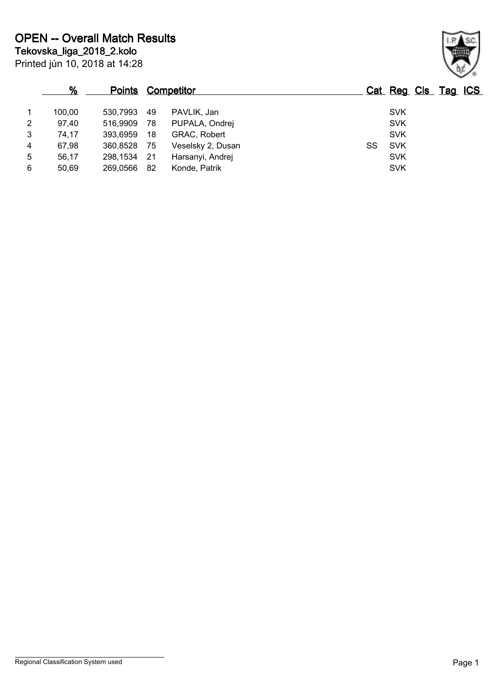|   | %      | <u>Points</u> |      | <b>Competitor</b> |    |            | Cat Reg Cls Tag ICS |  |
|---|--------|---------------|------|-------------------|----|------------|---------------------|--|
|   | 100.00 | 530,7993      | 49   | PAVLIK, Jan       |    | <b>SVK</b> |                     |  |
| 2 | 97,40  | 516,9909      | - 78 | PUPALA, Ondrej    |    | <b>SVK</b> |                     |  |
| 3 | 74,17  | 393,6959      | 18   | GRAC, Robert      |    | <b>SVK</b> |                     |  |
| 4 | 67,98  | 360,8528      | - 75 | Veselsky 2, Dusan | SS | <b>SVK</b> |                     |  |
| 5 | 56.17  | 298,1534      | - 21 | Harsanyi, Andrej  |    | <b>SVK</b> |                     |  |
| 6 | 50.69  | 269,0566      | -82  | Konde, Patrik     |    | <b>SVK</b> |                     |  |

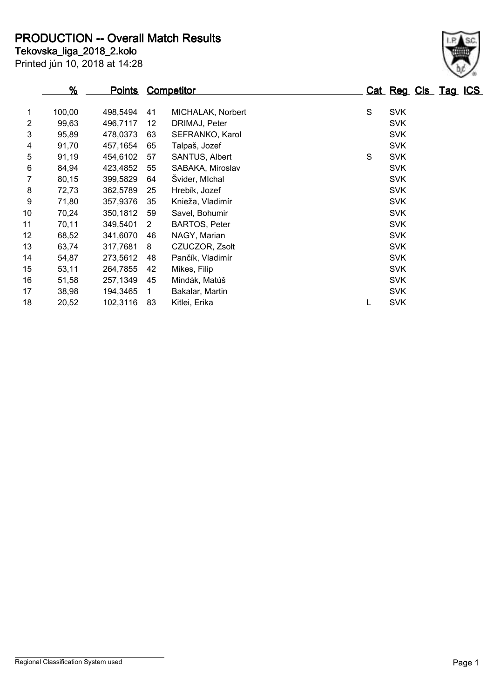**Tekovska\_liga\_2018\_2.kolo PRODUCTION -- Overall Match Results**

Printed jún 10, 2018 at 14:28

## **% Points Competitor Cat Reg Cls Tag ICS** 1 100,00 498,5494 41 MICHALAK, Norbert S SVK 2 99,63 496,7117 12 DRIMAJ, Peter SVK 3 95,89 478,0373 63 SEFRANKO, Karol SVK 4 91,70 457,1654 65 Talpaš, Jozef SVK 5 91,19 454,6102 57 SANTUS, Albert S SVK 6 84,94 423,4852 55 SABAKA, Miroslav SVK 7 80,15 399,5829 64 Švider, MIchal SVK 8 72,73 362,5789 25 Hrebík, Jozef SVK 9 71,80 357,9376 35 Knieža, Vladimír SVK 10 70,24 350,1812 59 Savel, Bohumir SVK 11 70.11 349.5401 2 BARTOS, Peter SVK

12 68.52 341.6070 46 NAGY. Marian SVK 13 63,74 317,7681 8 CZUCZOR, Zsolt SVK SVK 14 54,87 273,5612 48 Pančík, Vladimír SVK SVK 15 53,11 264,7855 42 Mikes, Filip SVK 16 51,58 257,1349 45 Mindák, Matúš SVK 17 38,98 194,3465 1 Bakalar, Martin SVK 18 20,52 102,3116 83 Kitlei, Erika L SVK

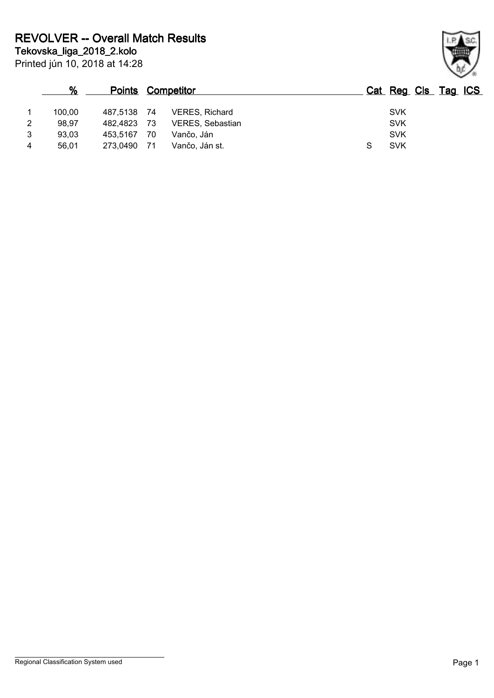|   | %      |          |      | <b>Points Competitor</b> | Cat Reg Cls Tag ICS |  |  |
|---|--------|----------|------|--------------------------|---------------------|--|--|
|   | 100.00 | 487,5138 | - 74 | VERES, Richard           | <b>SVK</b>          |  |  |
| 2 | 98.97  | 482.4823 | - 73 | VERES, Sebastian         | <b>SVK</b>          |  |  |
| 3 | 93,03  | 453.5167 | 70   | Vančo, Ján               | <b>SVK</b>          |  |  |
| 4 | 56,01  | 273,0490 | - 71 | Vančo, Ján st.           | <b>SVK</b>          |  |  |